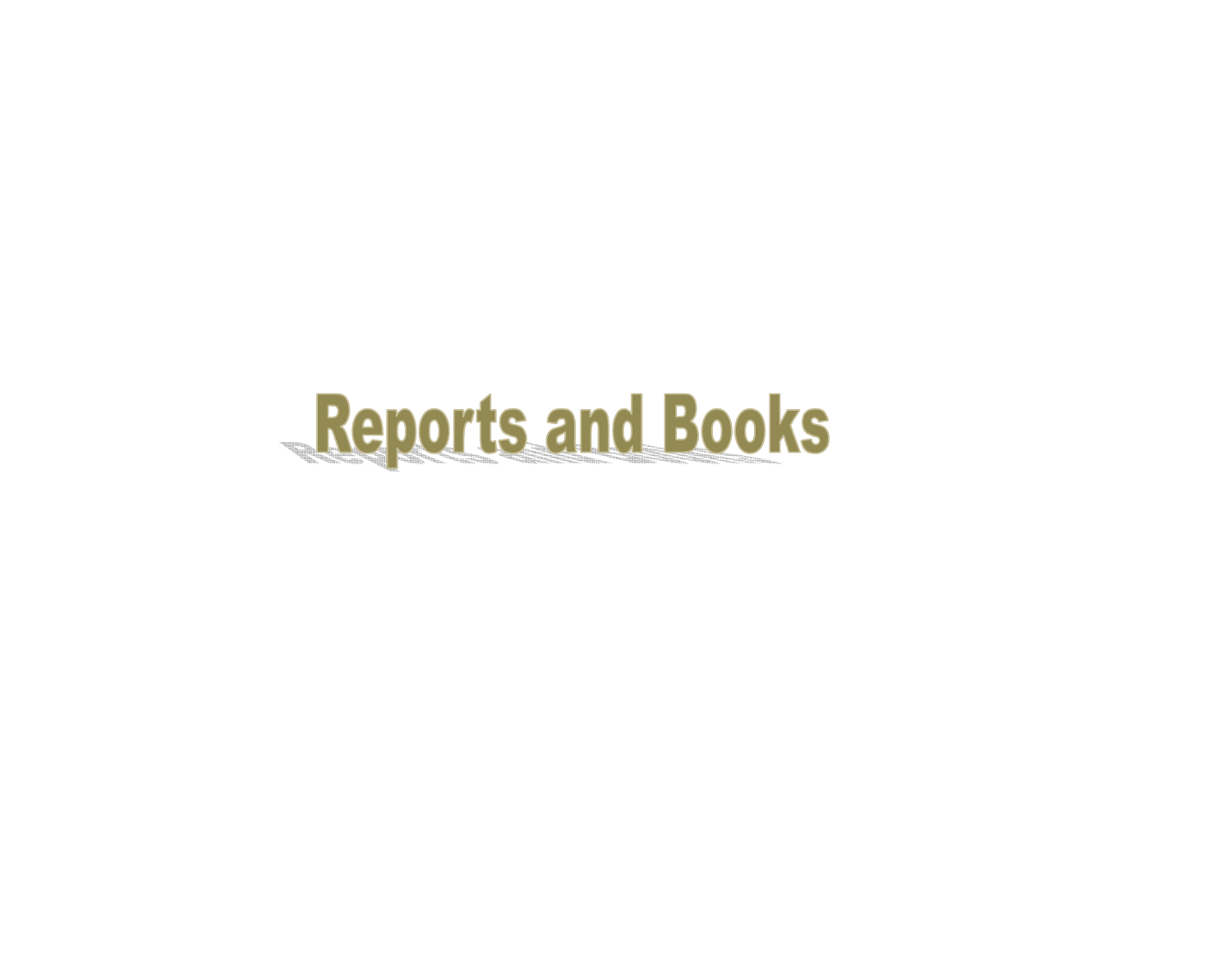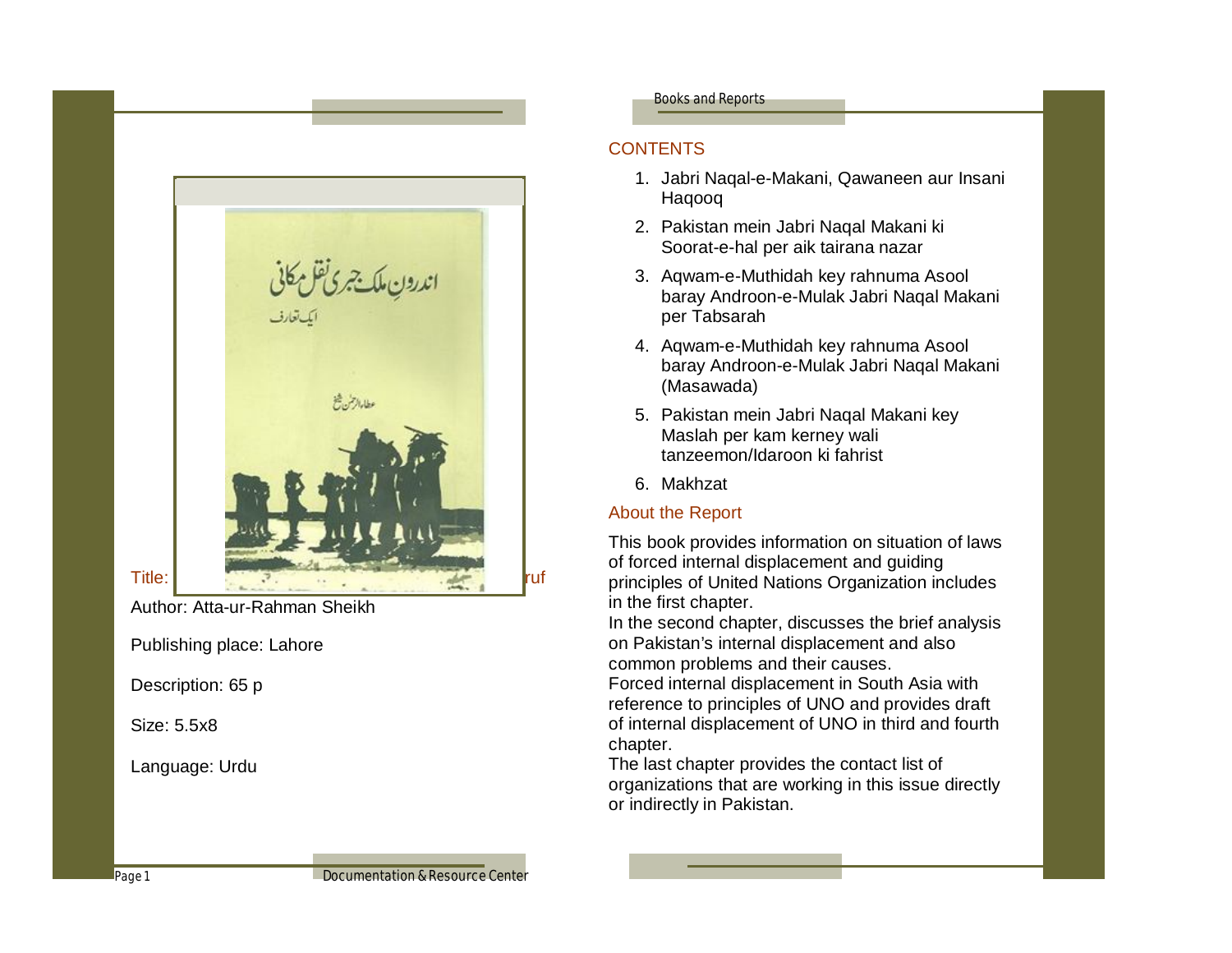

Author: Atta-ur-Rahman Sheikh

Publishing place: Lahore

Description: 65 p

Size: 5.5x8

Language: Urdu

### Books and Reports

## **CONTENTS**

- 1. Jabri Naqal-e-Makani, Qawaneen aur Insani Haqooq
- 2. Pakistan mein Jabri Naqal Makani ki Soorat-e-hal per aik tairana nazar
- 3. Aqwam-e-Muthidah key rahnuma Asool baray Androon-e-Mulak Jabri Naqal Makani per Tabsarah
- 4. Aqwam-e-Muthidah key rahnuma Asool baray Androon-e-Mulak Jabri Naqal Makani (Masawada)
- 5. Pakistan mein Jabri Naqal Makani key Maslah per kam kerney wali tanzeemon/Idaroon ki fahrist
- 6. Makhzat

## About the Report

This book provides information on situation of laws of forced internal displacement and guiding principles of United Nations Organization includes in the first chapter.

In the second chapter, discusses the brief analysis on Pakistan's internal displacement and also common problems and their causes.

Forced internal displacement in South Asia with reference to principles of UNO and provides draft of internal displacement of UNO in third and fourth chapter.

The last chapter provides the contact list of organizations that are working in this issue directly or indirectly in Pakistan.